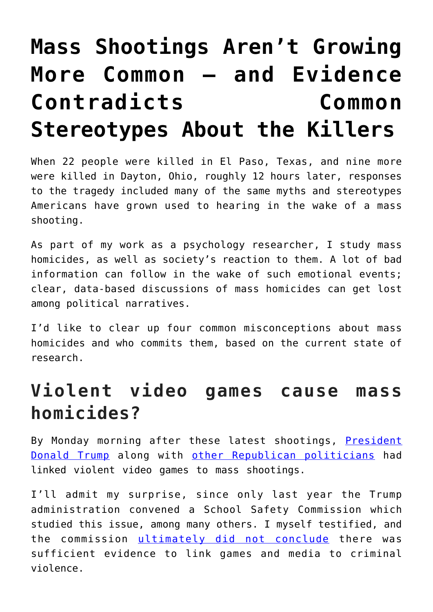# **[Mass Shootings Aren't Growing](https://intellectualtakeout.org/2019/08/mass-shootings-arent-growing-more-common-and-evidence-contradicts-common-stereotypes-about-the-killers/) [More Common – and Evidence](https://intellectualtakeout.org/2019/08/mass-shootings-arent-growing-more-common-and-evidence-contradicts-common-stereotypes-about-the-killers/) [Contradicts Common](https://intellectualtakeout.org/2019/08/mass-shootings-arent-growing-more-common-and-evidence-contradicts-common-stereotypes-about-the-killers/) [Stereotypes About the Killers](https://intellectualtakeout.org/2019/08/mass-shootings-arent-growing-more-common-and-evidence-contradicts-common-stereotypes-about-the-killers/)**

When 22 people were killed in El Paso, Texas, and nine more were killed in Dayton, Ohio, roughly 12 hours later, responses to the tragedy included many of the same myths and stereotypes Americans have grown used to hearing in the wake of a mass shooting.

As part of my work as a psychology researcher, I study mass homicides, as well as society's reaction to them. A lot of bad information can follow in the wake of such emotional events; clear, data-based discussions of mass homicides can get lost among political narratives.

I'd like to clear up four common misconceptions about mass homicides and who commits them, based on the current state of research.

#### **Violent video games cause mass homicides?**

By Monday morning after these latest shootings, [President](https://www.c-span.org/video/?463254-1/president-trump-calls-nation-condemn-racism-bigotry-white-supremacy-mass-shootings) [Donald Trump](https://www.c-span.org/video/?463254-1/president-trump-calls-nation-condemn-racism-bigotry-white-supremacy-mass-shootings) along with [other Republican politicians](https://www.nytimes.com/2019/08/05/sports/trump-violent-video-games-studies.html) had linked violent video games to mass shootings.

I'll admit my surprise, since only last year the Trump administration convened a School Safety Commission which studied this issue, among many others. I myself testified, and the commission [ultimately did not conclude](https://www2.ed.gov/documents/school-safety/school-safety-report.pdf) there was sufficient evidence to link games and media to criminal violence.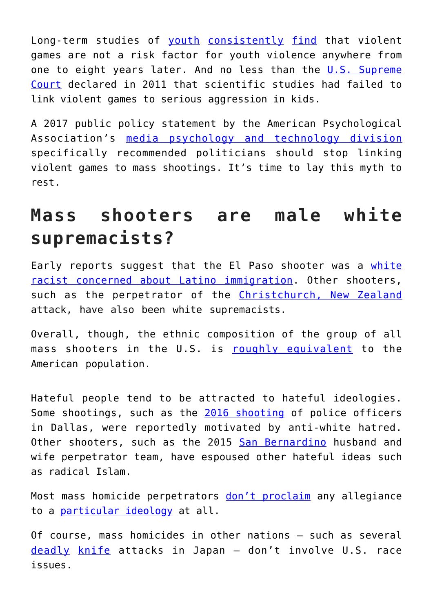Long-term studies of [youth](https://doi.org/10.1007/s10964-019-01069-0) [consistently](https://doi.org/10.1007/s10964-017-0646-z) [find](https://doi.org/10.1037/ppm0000035) that violent games are not a risk factor for youth violence anywhere from one to eight years later. And no less than the [U.S. Supreme](https://www.law.cornell.edu/supct/html/08-1448.ZS.html) [Court](https://www.law.cornell.edu/supct/html/08-1448.ZS.html) declared in 2011 that scientific studies had failed to link violent games to serious aggression in kids.

A 2017 public policy statement by the American Psychological Association's [media psychology and technology division](https://div46amplifier.com/2017/06/12/news-media-public-education-and-public-policy-committee/) specifically recommended politicians should stop linking violent games to mass shootings. It's time to lay this myth to rest.

#### **Mass shooters are male white supremacists?**

Early reports suggest that the El Paso shooter was a [white](https://www.washingtonpost.com/politics/2019/08/04/whats-inside-hate-filled-manifesto-linked-el-paso-shooter/) [racist concerned about Latino immigration](https://www.washingtonpost.com/politics/2019/08/04/whats-inside-hate-filled-manifesto-linked-el-paso-shooter/). Other shooters, such as the perpetrator of the [Christchurch, New Zealand](https://www.usatoday.com/story/news/nation/2019/03/15/new-zealand-christchurch-mosque-shootings-who-brenton-tarrant/3172550002/) attack, have also been white supremacists.

Overall, though, the ethnic composition of the group of all mass shooters in the U.S. is [roughly equivalent](https://www.statista.com/statistics/476456/mass-shootings-in-the-us-by-shooter-s-race/) to the American population.

Hateful people tend to be attracted to hateful ideologies. Some shootings, such as the [2016 shooting](https://www.nbcnews.com/storyline/dallas-police-ambush/protests-spawn-cities-across-u-s-over-police-shootings-black-n605686) of police officers in Dallas, were reportedly motivated by anti-white hatred. Other shooters, such as the 2015 [San Bernardino](https://www.nydailynews.com/news/national/wife-calif-shooting-victim-believes-husband-targeted-article-1.2458790) husband and wife perpetrator team, have espoused other hateful ideas such as radical Islam.

Most mass homicide perpetrators [don't proclaim](https://www.washingtonpost.com/news/posteverything/wp/2017/09/14/what-do-most-mass-shooters-have-in-common-hint-it-isnt-politics-video-games-or-religion/) any allegiance to a [particular ideology](https://smile.amazon.com/Murder-United-States-Ronald-Holmes/dp/0139343083/ref=sr_1_4?keywords=Mass+Murder+in+the+United+States&qid=1565110526&s=gateway&sr=8-4) at all.

Of course, mass homicides in other nations – such as several [deadly](https://www.theguardian.com/world/2016/jul/25/tokyo-knife-attack-stabbing-sagamihara) [knife](http://nymag.com/intelligencer/2019/05/what-we-know-about-the-knife-attack-in-kawasaki-japan.html) attacks in Japan – don't involve U.S. race issues.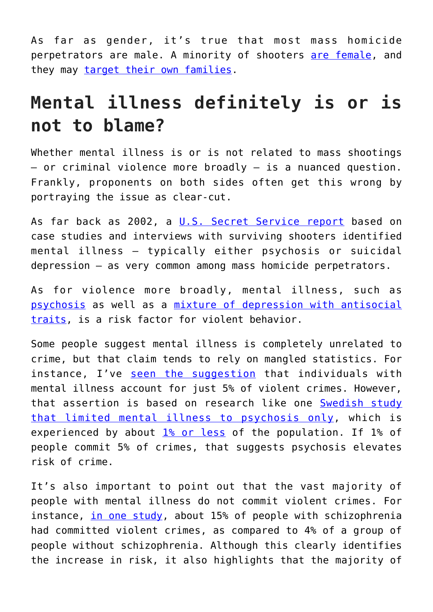As far as gender, it's true that most mass homicide perpetrators are male. A minority of shooters [are female,](https://www.crimetraveller.org/2017/04/amy-bishop-university-professor-mass-murder/) and they may [target their own families.](https://time.com/4375398/andrea-yates-15-years-drown-children/)

## **Mental illness definitely is or is not to blame?**

Whether mental illness is or is not related to mass shootings – or criminal violence more broadly – is a nuanced question. Frankly, proponents on both sides often get this wrong by portraying the issue as clear-cut.

As far back as 2002, a [U.S. Secret Service report](https://www2.ed.gov/admins/lead/safety/preventingattacksreport.pdf) based on case studies and interviews with surviving shooters identified mental illness – typically either psychosis or suicidal depression – as very common among mass homicide perpetrators.

As for violence more broadly, mental illness, such as [psychosis](http://dx.doi.org/10.1037/a0016311) as well as a [mixture of depression with antisocial](http://doi.org/10.1007/s10964-010-9610-x) [traits](http://doi.org/10.1007/s10964-010-9610-x), is a risk factor for violent behavior.

Some people suggest mental illness is completely unrelated to crime, but that claim tends to rely on mangled statistics. For instance, I've [seen the suggestion](https://www.amhca.org/blogs/joel-miller/2017/10/03/gun-violence-and-mental-illnessmyths-and-evidence-based-facts) that individuals with mental illness account for just 5% of violent crimes. However, that assertion is based on research like one [Swedish study](https://www.ncbi.nlm.nih.gov/pmc/articles/PMC1557975/) [that limited mental illness to psychosis only](https://www.ncbi.nlm.nih.gov/pmc/articles/PMC1557975/), which is experienced by about  $1\frac{8}{5}$  or less of the population. If 1% of people commit 5% of crimes, that suggests psychosis elevates risk of crime.

It's also important to point out that the vast majority of people with mental illness do not commit violent crimes. For instance, [in one study,](https://doi.org/10.1017/S0033291714000695) about 15% of people with schizophrenia had committed violent crimes, as compared to 4% of a group of people without schizophrenia. Although this clearly identifies the increase in risk, it also highlights that the majority of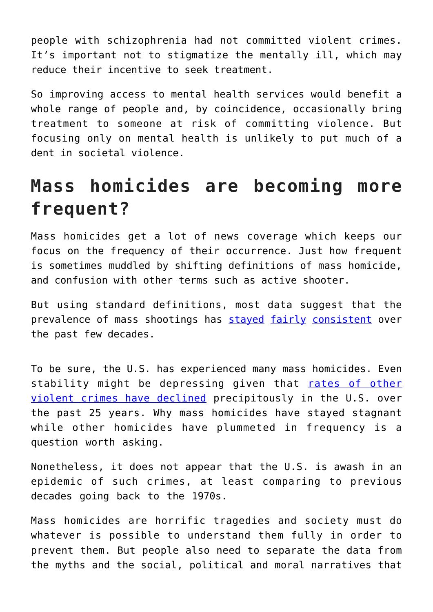people with schizophrenia had not committed violent crimes. It's important not to stigmatize the mentally ill, which may reduce their incentive to seek treatment.

So improving access to mental health services would benefit a whole range of people and, by coincidence, occasionally bring treatment to someone at risk of committing violence. But focusing only on mental health is unlikely to put much of a dent in societal violence.

### **Mass homicides are becoming more frequent?**

Mass homicides get a lot of news coverage which keeps our focus on the frequency of their occurrence. Just how frequent is sometimes muddled by shifting definitions of mass homicide, and confusion with other terms such as active shooter.

But using standard definitions, most data suggest that the prevalence of mass shootings has [stayed](https://doi.org/10.1177/1088767913510297) [fairly](https://doi.org/10.1891/0886-6708.VV-D-16-00039) [consistent](https://www.politico.com/magazine/story/2017/10/04/mass-shootings-more-deadly-frequent-research-215678) over the past few decades.

To be sure, the U.S. has experienced many mass homicides. Even stability might be depressing given that [rates of other](https://thehill.com/homenews/state-watch/421900-crime-murder-rates-drop-in-big-cities) [violent crimes have declined](https://thehill.com/homenews/state-watch/421900-crime-murder-rates-drop-in-big-cities) precipitously in the U.S. over the past 25 years. Why mass homicides have stayed stagnant while other homicides have plummeted in frequency is a question worth asking.

Nonetheless, it does not appear that the U.S. is awash in an epidemic of such crimes, at least comparing to previous decades going back to the 1970s.

Mass homicides are horrific tragedies and society must do whatever is possible to understand them fully in order to prevent them. But people also need to separate the data from the myths and the social, political and moral narratives that